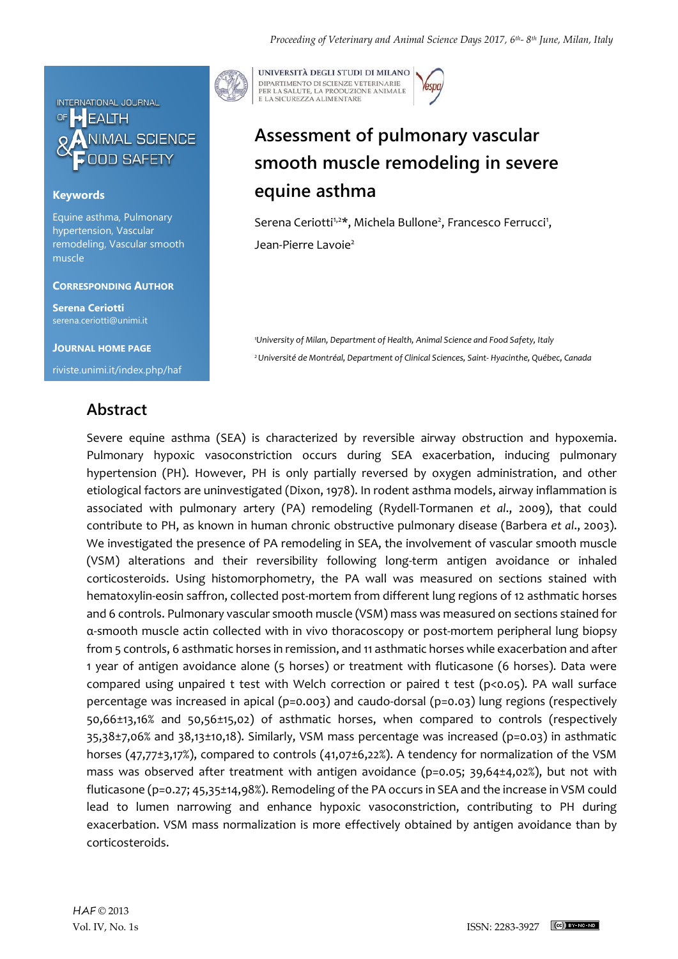

### **Keywords**

Equine asthma, Pulmonary hypertension, Vascular remodeling, Vascular smooth muscle

#### **CORRESPONDING AUTHOR**

**Serena Ceriotti** serena.ceriotti@unimi.it

**JOURNAL HOME PAGE** riviste.unimi.it/index.php/haf

## **Abstract**



UNIVERSITÀ DEGLI STUDI DI MILANO DIPARTIMENTO DI SCIENZE VETERINARIE PER LA SALUTE, LA PRODUZIONE ANIMALE<br>E LA SICUREZZA ALIMENTARE

# **Assessment of pulmonary vascular smooth muscle remodeling in severe equine asthma**

Serena Ceriotti<sup>1,2\*</sup>, Michela Bullone<sup>2</sup>, Francesco Ferrucci<sup>1</sup>, Jean-Pierre Lavoie<sup>2</sup>

*<sup>1</sup>University of Milan, Department of Health, Animal Science and Food Safety, Italy <sup>2</sup>Université de Montréal, Department of Clinical Sciences, Saint- Hyacinthe, Québec, Canada*

Severe equine asthma (SEA) is characterized by reversible airway obstruction and hypoxemia. Pulmonary hypoxic vasoconstriction occurs during SEA exacerbation, inducing pulmonary hypertension (PH). However, PH is only partially reversed by oxygen administration, and other etiological factors are uninvestigated (Dixon, 1978). In rodent asthma models, airway inflammation is associated with pulmonary artery (PA) remodeling (Rydell-Tormanen *et al*., 2009), that could contribute to PH, as known in human chronic obstructive pulmonary disease (Barbera *et al*., 2003). We investigated the presence of PA remodeling in SEA, the involvement of vascular smooth muscle (VSM) alterations and their reversibility following long-term antigen avoidance or inhaled corticosteroids. Using histomorphometry, the PA wall was measured on sections stained with hematoxylin-eosin saffron, collected post-mortem from different lung regions of 12 asthmatic horses and 6 controls. Pulmonary vascular smooth muscle (VSM) mass was measured on sections stained for α-smooth muscle actin collected with in vivo thoracoscopy or post-mortem peripheral lung biopsy from 5 controls, 6 asthmatic horses in remission, and 11 asthmatic horses while exacerbation and after 1 year of antigen avoidance alone (5 horses) or treatment with fluticasone (6 horses). Data were compared using unpaired t test with Welch correction or paired t test (p<0.05). PA wall surface percentage was increased in apical (p=0.003) and caudo-dorsal (p=0.03) lung regions (respectively 50,66±13,16% and 50,56±15,02) of asthmatic horses, when compared to controls (respectively 35,38±7,06% and 38,13±10,18). Similarly, VSM mass percentage was increased (p=0.03) in asthmatic horses (47,77±3,17%), compared to controls (41,07±6,22%). A tendency for normalization of the VSM mass was observed after treatment with antigen avoidance (p=0.05; 39,64±4,02%), but not with fluticasone (p=0.27; 45,35±14,98%). Remodeling of the PA occurs in SEA and the increase in VSM could lead to lumen narrowing and enhance hypoxic vasoconstriction, contributing to PH during exacerbation. VSM mass normalization is more effectively obtained by antigen avoidance than by corticosteroids.